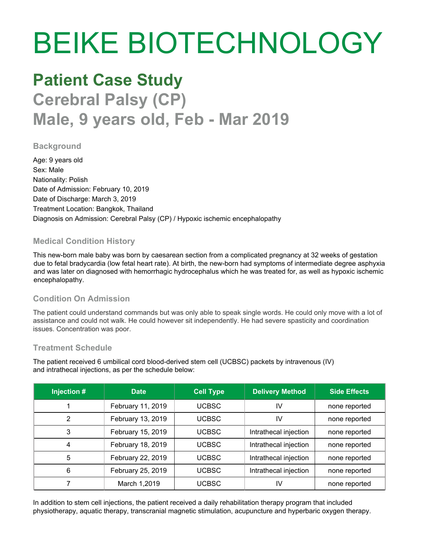# BEIKE BIOTECHNOLOGY

## **Patient Case Study Cerebral Palsy (CP) Male, 9 years old, Feb - Mar 2019**

#### **Background**

Age: 9 years old Sex: Male Nationality: Polish Date of Admission: February 10, 2019 Date of Discharge: March 3, 2019 Treatment Location: Bangkok, Thailand Diagnosis on Admission: Cerebral Palsy (CP) / Hypoxic ischemic encephalopathy

#### **Medical Condition History**

This new-born male baby was born by caesarean section from a complicated pregnancy at 32 weeks of gestation due to fetal bradycardia (low fetal heart rate). At birth, the new-born had symptoms of intermediate degree asphyxia and was later on diagnosed with hemorrhagic hydrocephalus which he was treated for, as well as hypoxic ischemic encephalopathy.

#### **Condition On Admission**

The patient could understand commands but was only able to speak single words. He could only move with a lot of assistance and could not walk. He could however sit independently. He had severe spasticity and coordination issues. Concentration was poor.

#### **Treatment Schedule**

The patient received 6 umbilical cord blood-derived stem cell (UCBSC) packets by intravenous (IV) and intrathecal injections, as per the schedule below:

| Injection # | <b>Date</b>       | <b>Cell Type</b> | <b>Delivery Method</b> | <b>Side Effects</b> |
|-------------|-------------------|------------------|------------------------|---------------------|
|             | February 11, 2019 | <b>UCBSC</b>     | IV                     | none reported       |
| 2           | February 13, 2019 | <b>UCBSC</b>     | IV                     | none reported       |
| 3           | February 15, 2019 | <b>UCBSC</b>     | Intrathecal injection  | none reported       |
| 4           | February 18, 2019 | <b>UCBSC</b>     | Intrathecal injection  | none reported       |
| 5           | February 22, 2019 | <b>UCBSC</b>     | Intrathecal injection  | none reported       |
| 6           | February 25, 2019 | <b>UCBSC</b>     | Intrathecal injection  | none reported       |
|             | March 1,2019      | <b>UCBSC</b>     | IV                     | none reported       |

In addition to stem cell injections, the patient received a daily rehabilitation therapy program that included physiotherapy, aquatic therapy, transcranial magnetic stimulation, acupuncture and hyperbaric oxygen therapy.